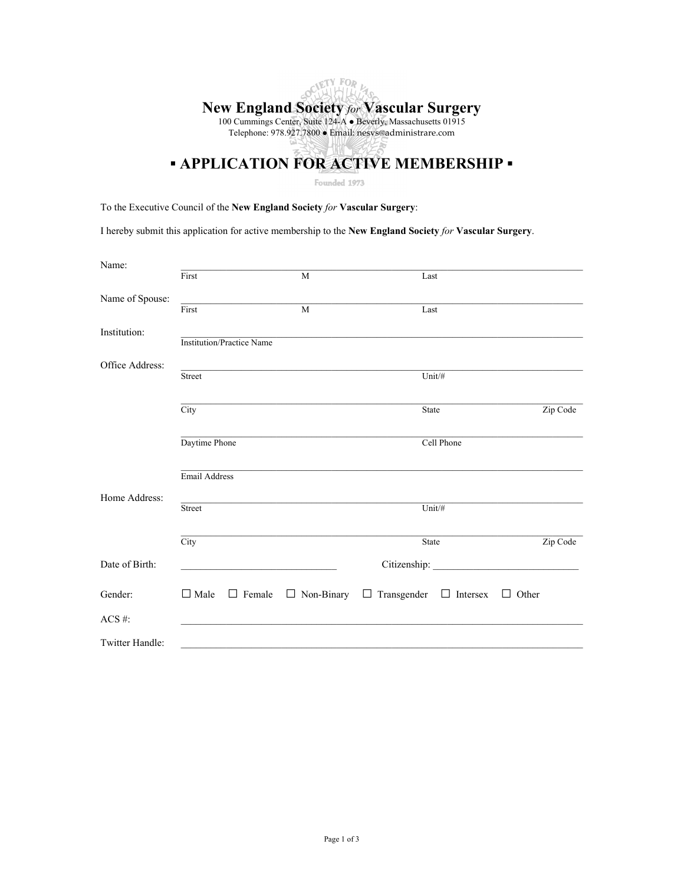# OCIETY FOR **New England Society** *for* **Vascular Surgery** 100 Cummings Center, Suite 124-A · Beverly, Massachusetts 01915 Telephone: 978.927.7800 Email: nesvs@administrare.com **<u><b>•** APPLICATION FOR ACTIVE MEMBERSHIP •</u>

Founded 1973

To the Executive Council of the **New England Society** *for* **Vascular Surgery**:

I hereby submit this application for active membership to the **New England Society** *for* **Vascular Surgery**.

| Name:           |                                  |                                                                                           |              |                                                      |            |              |
|-----------------|----------------------------------|-------------------------------------------------------------------------------------------|--------------|------------------------------------------------------|------------|--------------|
|                 | First                            |                                                                                           | M            | Last                                                 |            |              |
| Name of Spouse: |                                  |                                                                                           |              |                                                      |            |              |
|                 | First                            |                                                                                           | $\mathbf{M}$ | Last                                                 |            |              |
| Institution:    |                                  |                                                                                           |              |                                                      |            |              |
|                 | <b>Institution/Practice Name</b> |                                                                                           |              |                                                      |            |              |
| Office Address: |                                  |                                                                                           |              |                                                      |            |              |
|                 | Street                           |                                                                                           |              | Unit/#                                               |            |              |
|                 | $\overline{\mathrm{City}}$       |                                                                                           |              | State                                                |            | Zip Code     |
|                 |                                  |                                                                                           |              |                                                      |            |              |
|                 | Daytime Phone                    |                                                                                           |              |                                                      | Cell Phone |              |
|                 |                                  |                                                                                           |              |                                                      |            |              |
|                 | Email Address                    |                                                                                           |              |                                                      |            |              |
| Home Address:   |                                  |                                                                                           |              |                                                      |            |              |
|                 | Street                           |                                                                                           |              | Unit/#                                               |            |              |
|                 |                                  |                                                                                           |              |                                                      |            |              |
|                 | $\overline{\mathrm{City}}$       |                                                                                           |              | State                                                |            | Zip Code     |
| Date of Birth:  |                                  | the control of the control of the control of the control of the control of the control of |              |                                                      |            |              |
|                 |                                  |                                                                                           |              |                                                      |            |              |
| Gender:         | $\Box$ Male                      | $\Box$ Female                                                                             |              | $\Box$ Non-Binary $\Box$ Transgender $\Box$ Intersex |            | $\Box$ Other |
| ACS#:           |                                  |                                                                                           |              |                                                      |            |              |
| Twitter Handle: |                                  |                                                                                           |              |                                                      |            |              |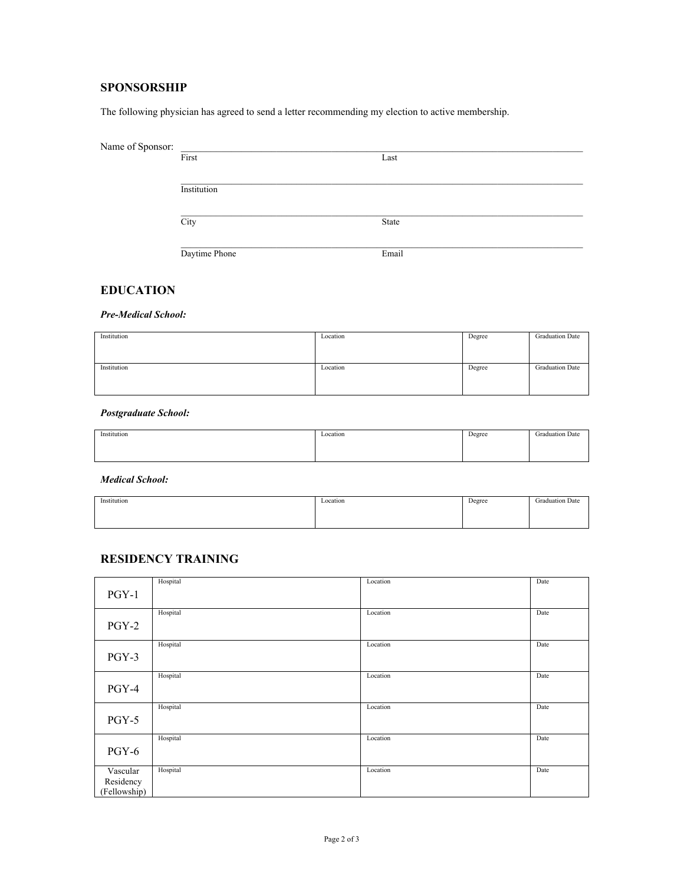#### **SPONSORSHIP**

The following physician has agreed to send a letter recommending my election to active membership.

| Name of Sponsor: |               |       |
|------------------|---------------|-------|
|                  | First         | Last  |
|                  |               |       |
|                  | Institution   |       |
|                  | City          | State |
|                  |               |       |
|                  | Daytime Phone | Email |

#### **EDUCATION**

*Pre-Medical School:*

| Institution | Location | Degree | <b>Graduation Date</b> |
|-------------|----------|--------|------------------------|
| Institution | Location | Degree | <b>Graduation Date</b> |

*Postgraduate School:*

| Institution | Location | Degree | <b>Graduation Date</b> |
|-------------|----------|--------|------------------------|
|             |          |        |                        |
|             |          |        |                        |
|             |          |        |                        |
|             |          |        |                        |
|             |          |        |                        |

*Medical School:*

| Institution | Location<br>--------- | Degree | Graduation Date |
|-------------|-----------------------|--------|-----------------|
|             |                       |        |                 |
|             |                       |        |                 |

#### **RESIDENCY TRAINING**

| $PGY-1$                               | Hospital | Location | Date |
|---------------------------------------|----------|----------|------|
| $PGY-2$                               | Hospital | Location | Date |
| PGY-3                                 | Hospital | Location | Date |
| PGY-4                                 | Hospital | Location | Date |
| $PGY-5$                               | Hospital | Location | Date |
| PGY-6                                 | Hospital | Location | Date |
| Vascular<br>Residency<br>(Fellowship) | Hospital | Location | Date |